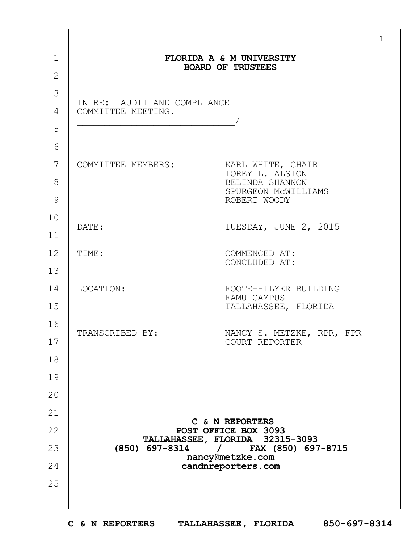|                                                                                                                                 | FLORIDA A & M UNIVERSITY<br><b>BOARD OF TRUSTEES</b> |
|---------------------------------------------------------------------------------------------------------------------------------|------------------------------------------------------|
|                                                                                                                                 |                                                      |
| IN RE: AUDIT AND COMPLIANCE                                                                                                     |                                                      |
| COMMITTEE MEETING.                                                                                                              |                                                      |
|                                                                                                                                 |                                                      |
|                                                                                                                                 |                                                      |
| COMMITTEE MEMBERS:                                                                                                              | KARL WHITE, CHAIR<br>TOREY L. ALSTON                 |
|                                                                                                                                 | BELINDA SHANNON                                      |
|                                                                                                                                 | SPURGEON MCWILLIAMS<br>ROBERT WOODY                  |
| DATE:                                                                                                                           |                                                      |
|                                                                                                                                 | TUESDAY, JUNE 2, 2015                                |
| TIME:                                                                                                                           | COMMENCED AT:                                        |
|                                                                                                                                 | CONCLUDED AT:                                        |
| LOCATION:                                                                                                                       | FOOTE-HILYER BUILDING                                |
|                                                                                                                                 | FAMU CAMPUS<br>TALLAHASSEE, FLORIDA                  |
|                                                                                                                                 |                                                      |
| TRANSCRIBED BY:                                                                                                                 | NANCY S. METZKE, RPR, FPR<br>COURT REPORTER          |
|                                                                                                                                 |                                                      |
|                                                                                                                                 |                                                      |
|                                                                                                                                 |                                                      |
|                                                                                                                                 |                                                      |
|                                                                                                                                 | C & N REPORTERS<br>POST OFFICE BOX 3093              |
| TALLAHASSEE, FLORIDA 32315-3093<br>$(850)$ 697-8314<br>FAX (850) 697-8715<br>$\prime$<br>nancy@metzke.com<br>candnreporters.com |                                                      |
|                                                                                                                                 |                                                      |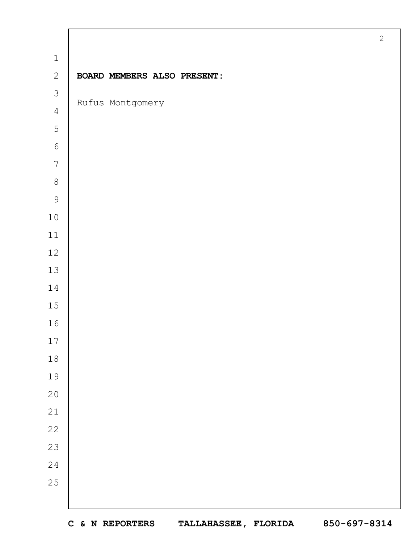|                | $\mathbf{2}$                |
|----------------|-----------------------------|
| $\mathbf 1$    |                             |
| $\overline{2}$ | BOARD MEMBERS ALSO PRESENT: |
| $\mathcal{S}$  |                             |
| $\overline{4}$ | Rufus Montgomery            |
| 5              |                             |
| $\epsilon$     |                             |
| $7\phantom{.}$ |                             |
| $\,8\,$        |                             |
| $\mathcal{G}$  |                             |
| $1\,0$         |                             |
| $11\,$         |                             |
| 12             |                             |
| 13             |                             |
| 14             |                             |
| 15             |                             |
| 16             |                             |
| 17             |                             |
| $1\,8$         |                             |
| 19             |                             |
| 20             |                             |
| 21             |                             |
| 22             |                             |
| 23             |                             |
| 24             |                             |
| 25             |                             |
|                |                             |

 $\mathbf{I}$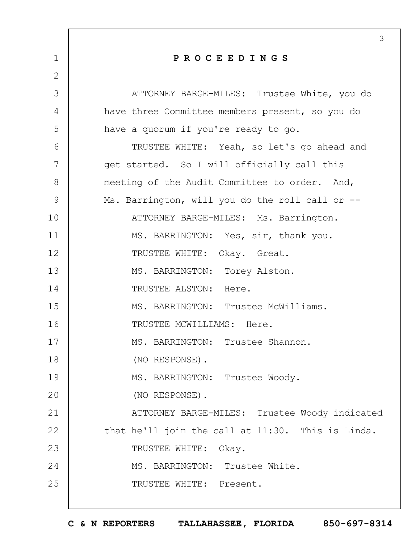|               | 3                                                 |
|---------------|---------------------------------------------------|
| 1             | PROCEEDINGS                                       |
| $\mathbf{2}$  |                                                   |
| 3             | ATTORNEY BARGE-MILES: Trustee White, you do       |
| 4             | have three Committee members present, so you do   |
| 5             | have a quorum if you're ready to go.              |
| 6             | TRUSTEE WHITE: Yeah, so let's go ahead and        |
| 7             | get started. So I will officially call this       |
| 8             | meeting of the Audit Committee to order. And,     |
| $\mathcal{G}$ | Ms. Barrington, will you do the roll call or --   |
| 10            | ATTORNEY BARGE-MILES: Ms. Barrington.             |
| 11            | MS. BARRINGTON: Yes, sir, thank you.              |
| 12            | TRUSTEE WHITE: Okay. Great.                       |
| 13            | MS. BARRINGTON: Torey Alston.                     |
| 14            | TRUSTEE ALSTON: Here.                             |
| 15            | MS. BARRINGTON: Trustee McWilliams.               |
| 16            | TRUSTEE MCWILLIAMS: Here.                         |
| 17            | MS. BARRINGTON: Trustee Shannon.                  |
| 18            | (NO RESPONSE).                                    |
| 19            | MS. BARRINGTON: Trustee Woody.                    |
| 20            | (NO RESPONSE).                                    |
| 21            | ATTORNEY BARGE-MILES: Trustee Woody indicated     |
| 22            | that he'll join the call at 11:30. This is Linda. |
| 23            | TRUSTEE WHITE: Okay.                              |
| 24            | MS. BARRINGTON: Trustee White.                    |
| 25            | TRUSTEE WHITE: Present.                           |
|               |                                                   |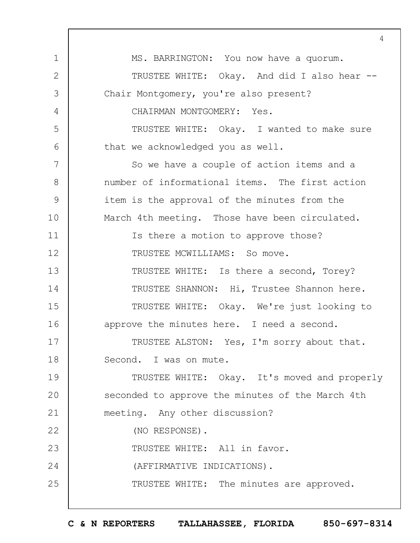1 2 3 4 5 6 7 8 9 10 11 12 13 14 15 16 17 18 19  $20$ 21 22 23 24 25  $\Delta$ MS. BARRINGTON: You now have a quorum. TRUSTEE WHITE: Okay. And did I also hear -- Chair Montgomery, you're also present? CHAIRMAN MONTGOMERY: Yes. TRUSTEE WHITE: Okay. I wanted to make sure that we acknowledged you as well. So we have a couple of action items and a number of informational items. The first action item is the approval of the minutes from the March 4th meeting. Those have been circulated. Is there a motion to approve those? TRUSTEE MCWILLIAMS: So move. TRUSTEE WHITE: Is there a second, Torey? TRUSTEE SHANNON: Hi, Trustee Shannon here. TRUSTEE WHITE: Okay. We're just looking to approve the minutes here. I need a second. TRUSTEE ALSTON: Yes, I'm sorry about that. Second. I was on mute. TRUSTEE WHITE: Okay. It's moved and properly seconded to approve the minutes of the March 4th meeting. Any other discussion? (NO RESPONSE). TRUSTEE WHITE: All in favor. (AFFIRMATIVE INDICATIONS). TRUSTEE WHITE: The minutes are approved.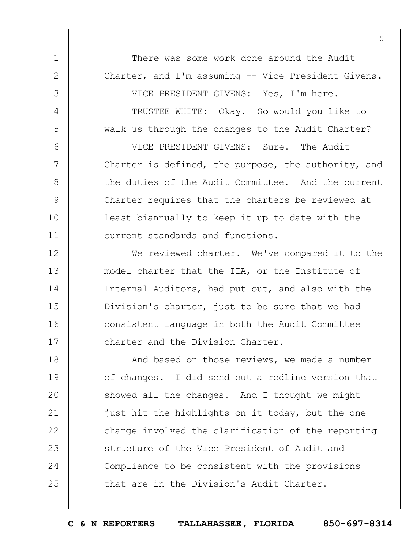There was some work done around the Audit. Charter, and I'm assuming -- Vice President Givens.

1

2

3

4

5

6

7

8

9

10

11

VICE PRESIDENT GIVENS: Yes, I'm here.

TRUSTEE WHITE: Okay. So would you like to walk us through the changes to the Audit Charter?

VICE PRESIDENT GIVENS: Sure. The Audit Charter is defined, the purpose, the authority, and the duties of the Audit Committee. And the current Charter requires that the charters be reviewed at least biannually to keep it up to date with the current standards and functions.

12 13 14 15 16 17 We reviewed charter. We've compared it to the model charter that the IIA, or the Institute of Internal Auditors, had put out, and also with the Division's charter, just to be sure that we had consistent language in both the Audit Committee charter and the Division Charter.

18 19  $20$ 21 22 23 24 25 And based on those reviews, we made a number of changes. I did send out a redline version that showed all the changes. And I thought we might just hit the highlights on it today, but the one change involved the clarification of the reporting structure of the Vice President of Audit and Compliance to be consistent with the provisions that are in the Division's Audit Charter.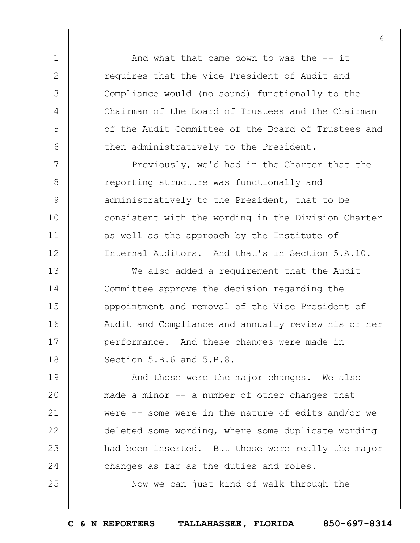And what that came down to was the  $-$  it requires that the Vice President of Audit and Compliance would (no sound) functionally to the Chairman of the Board of Trustees and the Chairman of the Audit Committee of the Board of Trustees and then administratively to the President.

1

2

3

4

5

6

7

8

9

10

11

12

25

Previously, we'd had in the Charter that the reporting structure was functionally and administratively to the President, that to be consistent with the wording in the Division Charter as well as the approach by the Institute of Internal Auditors. And that's in Section 5.A.10.

13 14 15 16 17 18 We also added a requirement that the Audit Committee approve the decision regarding the appointment and removal of the Vice President of Audit and Compliance and annually review his or her performance. And these changes were made in Section 5.B.6 and 5.B.8.

19  $20$ 21 22 23 24 And those were the major changes. We also made a minor -- a number of other changes that were -- some were in the nature of edits and/or we deleted some wording, where some duplicate wording had been inserted. But those were really the major changes as far as the duties and roles.

Now we can just kind of walk through the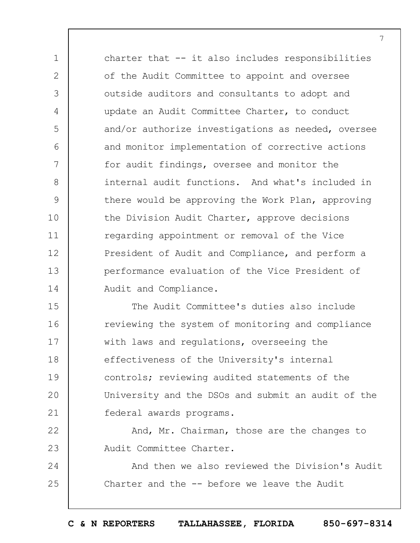charter that -- it also includes responsibilities of the Audit Committee to appoint and oversee outside auditors and consultants to adopt and update an Audit Committee Charter, to conduct and/or authorize investigations as needed, oversee and monitor implementation of corrective actions for audit findings, oversee and monitor the internal audit functions. And what's included in there would be approving the Work Plan, approving the Division Audit Charter, approve decisions regarding appointment or removal of the Vice President of Audit and Compliance, and perform a performance evaluation of the Vice President of Audit and Compliance.

1

2

3

4

5

6

7

8

9

10

11

12

13

14

15 16 17 18 19  $20$ 21 The Audit Committee's duties also include reviewing the system of monitoring and compliance with laws and regulations, overseeing the effectiveness of the University's internal controls; reviewing audited statements of the University and the DSOs and submit an audit of the federal awards programs.

22 23 And, Mr. Chairman, those are the changes to Audit Committee Charter.

24 25 And then we also reviewed the Division's Audit Charter and the -- before we leave the Audit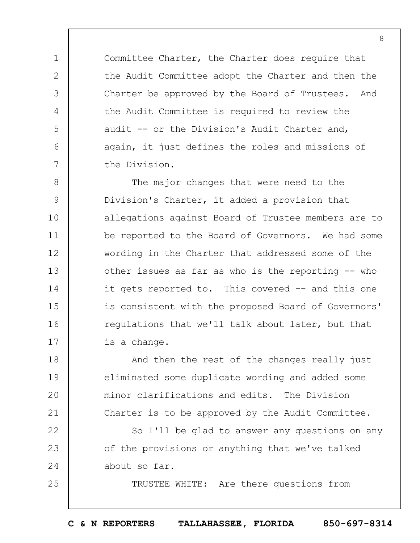Committee Charter, the Charter does require that the Audit Committee adopt the Charter and then the Charter be approved by the Board of Trustees. And the Audit Committee is required to review the audit -- or the Division's Audit Charter and, again, it just defines the roles and missions of the Division.

1

2

3

4

5

6

7

24

25

8 9 10 11 12 13 14 15 16 17 The major changes that were need to the Division's Charter, it added a provision that allegations against Board of Trustee members are to be reported to the Board of Governors. We had some wording in the Charter that addressed some of the other issues as far as who is the reporting -- who it gets reported to. This covered -- and this one is consistent with the proposed Board of Governors' regulations that we'll talk about later, but that is a change.

18 19  $20$ 21 And then the rest of the changes really just eliminated some duplicate wording and added some minor clarifications and edits. The Division Charter is to be approved by the Audit Committee.

22 23 So I'll be glad to answer any questions on any of the provisions or anything that we've talked about so far.

TRUSTEE WHITE: Are there questions from

**C & N REPORTERS TALLAHASSEE, FLORIDA 850-697-8314**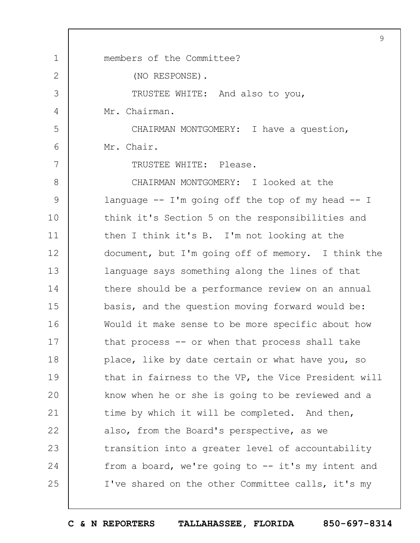1 2 3 4 5 6 7 8 9 10 11 12 13 14 15 16 17 18 19  $20$ 21 22 23 24 25 9 members of the Committee? (NO RESPONSE). TRUSTEE WHITE: And also to you, Mr. Chairman. CHAIRMAN MONTGOMERY: I have a question, Mr. Chair. TRUSTEE WHITE: Please. CHAIRMAN MONTGOMERY: I looked at the language  $-$  I'm going off the top of my head  $-$  I think it's Section 5 on the responsibilities and then I think it's B. I'm not looking at the document, but I'm going off of memory. I think the language says something along the lines of that there should be a performance review on an annual basis, and the question moving forward would be: Would it make sense to be more specific about how that process -- or when that process shall take place, like by date certain or what have you, so that in fairness to the VP, the Vice President will know when he or she is going to be reviewed and a time by which it will be completed. And then, also, from the Board's perspective, as we transition into a greater level of accountability from a board, we're going to -- it's my intent and I've shared on the other Committee calls, it's my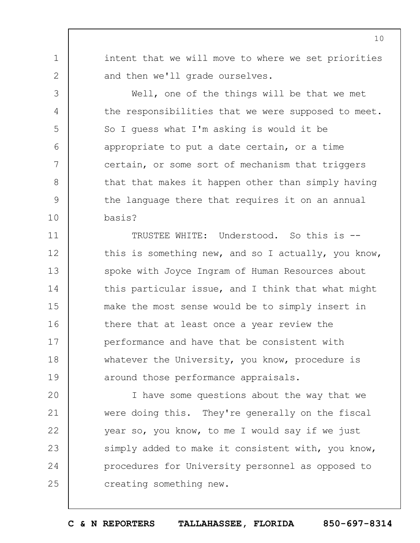intent that we will move to where we set priorities and then we'll grade ourselves.

1

2

3

4

5

6

7

8

9

10

Well, one of the things will be that we met the responsibilities that we were supposed to meet. So I guess what I'm asking is would it be appropriate to put a date certain, or a time certain, or some sort of mechanism that triggers that that makes it happen other than simply having the language there that requires it on an annual basis?

11 12 13 14 15 16 17 18 19 TRUSTEE WHITE: Understood. So this is - this is something new, and so I actually, you know, spoke with Joyce Ingram of Human Resources about this particular issue, and I think that what might make the most sense would be to simply insert in there that at least once a year review the performance and have that be consistent with whatever the University, you know, procedure is around those performance appraisals.

 $20$ 21 22 23 24 25 I have some questions about the way that we were doing this. They're generally on the fiscal year so, you know, to me I would say if we just simply added to make it consistent with, you know, procedures for University personnel as opposed to creating something new.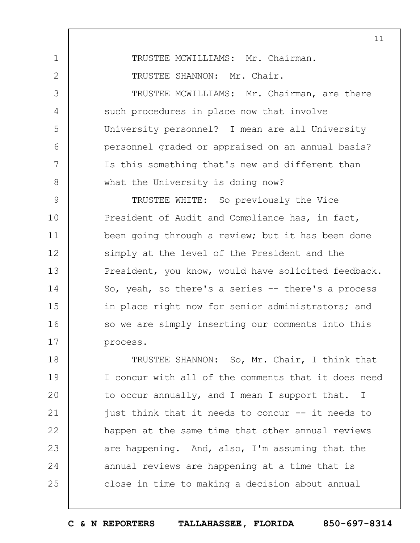TRUSTEE MCWILLIAMS: Mr. Chairman.

TRUSTEE SHANNON: Mr. Chair.

1

2

3

4

5

6

7

8

TRUSTEE MCWILLIAMS: Mr. Chairman, are there such procedures in place now that involve University personnel? I mean are all University personnel graded or appraised on an annual basis? Is this something that's new and different than what the University is doing now?

9 10 11 12 13 14 15 16 17 TRUSTEE WHITE: So previously the Vice President of Audit and Compliance has, in fact, been going through a review; but it has been done simply at the level of the President and the President, you know, would have solicited feedback. So, yeah, so there's a series -- there's a process in place right now for senior administrators; and so we are simply inserting our comments into this process.

18 19  $20$ 21 22 23 24 25 TRUSTEE SHANNON: So, Mr. Chair, I think that I concur with all of the comments that it does need to occur annually, and I mean I support that. I just think that it needs to concur -- it needs to happen at the same time that other annual reviews are happening. And, also, I'm assuming that the annual reviews are happening at a time that is close in time to making a decision about annual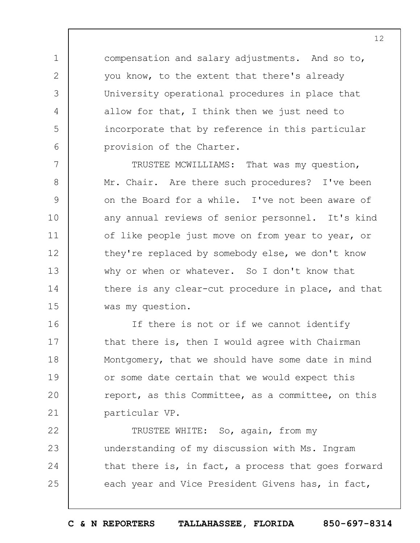compensation and salary adjustments. And so to, you know, to the extent that there's already University operational procedures in place that allow for that, I think then we just need to incorporate that by reference in this particular provision of the Charter.

1

2

3

4

5

6

7 8 9 10 11 12 13 14 15 TRUSTEE MCWILLIAMS: That was my question, Mr. Chair. Are there such procedures? I've been on the Board for a while. I've not been aware of any annual reviews of senior personnel. It's kind of like people just move on from year to year, or they're replaced by somebody else, we don't know why or when or whatever. So I don't know that there is any clear-cut procedure in place, and that was my question.

16 17 18 19  $20$ 21 If there is not or if we cannot identify that there is, then I would agree with Chairman Montgomery, that we should have some date in mind or some date certain that we would expect this report, as this Committee, as a committee, on this particular VP.

22 23 24 25 TRUSTEE WHITE: So, again, from my understanding of my discussion with Ms. Ingram that there is, in fact, a process that goes forward each year and Vice President Givens has, in fact,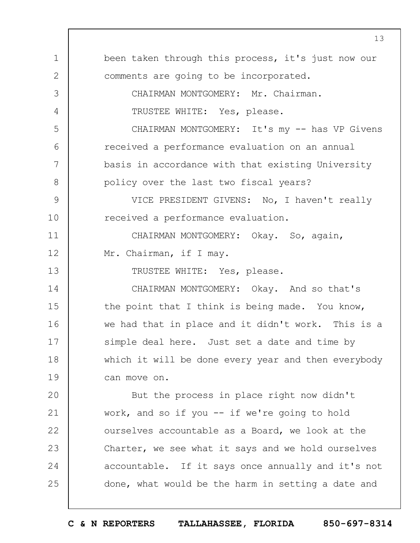1 2 3 4 5 6 7 8 9 10 11 12 13 14 15 16 17 18 19  $20$ 21 22 23 24 25 been taken through this process, it's just now our comments are going to be incorporated. CHAIRMAN MONTGOMERY: Mr. Chairman. TRUSTEE WHITE: Yes, please. CHAIRMAN MONTGOMERY: It's my -- has VP Givens received a performance evaluation on an annual basis in accordance with that existing University policy over the last two fiscal years? VICE PRESIDENT GIVENS: No, I haven't really received a performance evaluation. CHAIRMAN MONTGOMERY: Okay. So, again, Mr. Chairman, if I may. TRUSTEE WHITE: Yes, please. CHAIRMAN MONTGOMERY: Okay. And so that's the point that I think is being made. You know, we had that in place and it didn't work. This is a simple deal here. Just set a date and time by which it will be done every year and then everybody can move on. But the process in place right now didn't work, and so if you -- if we're going to hold ourselves accountable as a Board, we look at the Charter, we see what it says and we hold ourselves accountable. If it says once annually and it's not done, what would be the harm in setting a date and

**C & N REPORTERS TALLAHASSEE, FLORIDA 850-697-8314**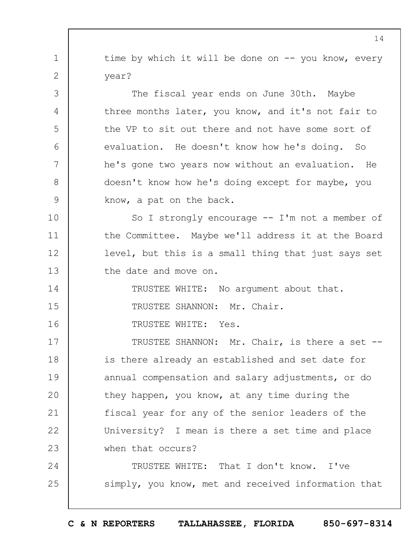time by which it will be done on  $--$  you know, every year?

The fiscal year ends on June 30th. Maybe three months later, you know, and it's not fair to the VP to sit out there and not have some sort of evaluation. He doesn't know how he's doing. So he's gone two years now without an evaluation. He doesn't know how he's doing except for maybe, you know, a pat on the back.

10 11 12 13 So I strongly encourage -- I'm not a member of the Committee. Maybe we'll address it at the Board level, but this is a small thing that just says set the date and move on.

14 15 TRUSTEE WHITE: No argument about that. TRUSTEE SHANNON: Mr. Chair.

16 TRUSTEE WHITE: Yes.

1

2

3

4

5

6

7

8

9

17 18 19  $20$ 21 22 23 TRUSTEE SHANNON: Mr. Chair, is there a set - is there already an established and set date for annual compensation and salary adjustments, or do they happen, you know, at any time during the fiscal year for any of the senior leaders of the University? I mean is there a set time and place when that occurs?

24 25 TRUSTEE WHITE: That I don't know. I've simply, you know, met and received information that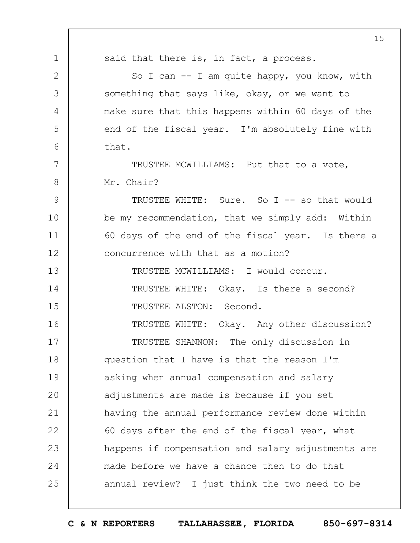1 2 3 4 5 6 7 8 9 10 11 12 13 14 15 16 17 18 19  $20$ 21 22 23 24 25 15 said that there is, in fact, a process. So I can  $-$ - I am quite happy, you know, with something that says like, okay, or we want to make sure that this happens within 60 days of the end of the fiscal year. I'm absolutely fine with that. TRUSTEE MCWILLIAMS: Put that to a vote, Mr. Chair? TRUSTEE WHITE: Sure. So I -- so that would be my recommendation, that we simply add: Within 60 days of the end of the fiscal year. Is there a concurrence with that as a motion? TRUSTEE MCWILLIAMS: I would concur. TRUSTEE WHITE: Okay. Is there a second? TRUSTEE ALSTON: Second. TRUSTEE WHITE: Okay. Any other discussion? TRUSTEE SHANNON: The only discussion in question that I have is that the reason I'm asking when annual compensation and salary adjustments are made is because if you set having the annual performance review done within 60 days after the end of the fiscal year, what happens if compensation and salary adjustments are made before we have a chance then to do that annual review? I just think the two need to be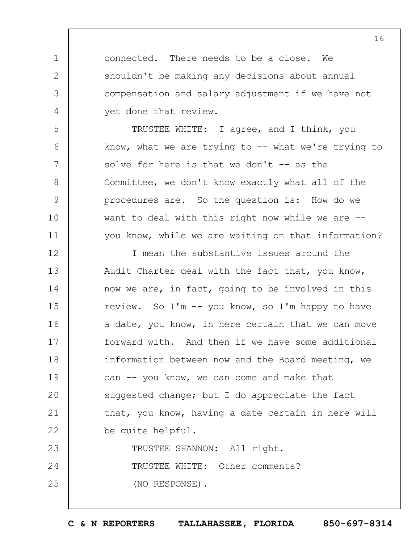connected. There needs to be a close. We shouldn't be making any decisions about annual compensation and salary adjustment if we have not yet done that review.

1

2

3

4

5

6

7

8

9

10

11

TRUSTEE WHITE: I agree, and I think, you know, what we are trying to  $-$ - what we're trying to solve for here is that we don't  $-$  as the Committee, we don't know exactly what all of the procedures are. So the question is: How do we want to deal with this right now while we are  $-$ you know, while we are waiting on that information?

12 13 14 15 16 17 18 19  $20$ 21 22 I mean the substantive issues around the Audit Charter deal with the fact that, you know, now we are, in fact, going to be involved in this review. So I'm -- you know, so I'm happy to have a date, you know, in here certain that we can move forward with. And then if we have some additional information between now and the Board meeting, we can  $--$  you know, we can come and make that suggested change; but I do appreciate the fact that, you know, having a date certain in here will be quite helpful.

23 24 25 TRUSTEE SHANNON: All right. TRUSTEE WHITE: Other comments? (NO RESPONSE).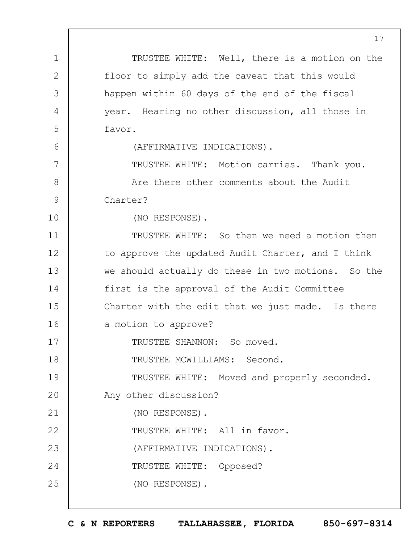1 2 3 4 5 6 7 8 9 10 11 12 13 14 15 16 17 18 19  $20$ 21 22 23 24 25 17 TRUSTEE WHITE: Well, there is a motion on the floor to simply add the caveat that this would happen within 60 days of the end of the fiscal year. Hearing no other discussion, all those in favor. (AFFIRMATIVE INDICATIONS). TRUSTEE WHITE: Motion carries. Thank you. Are there other comments about the Audit Charter? (NO RESPONSE). TRUSTEE WHITE: So then we need a motion then to approve the updated Audit Charter, and I think we should actually do these in two motions. So the first is the approval of the Audit Committee Charter with the edit that we just made. Is there a motion to approve? TRUSTEE SHANNON: So moved. TRUSTEE MCWILLIAMS: Second. TRUSTEE WHITE: Moved and properly seconded. Any other discussion? (NO RESPONSE). TRUSTEE WHITE: All in favor. (AFFIRMATIVE INDICATIONS). TRUSTEE WHITE: Opposed? (NO RESPONSE).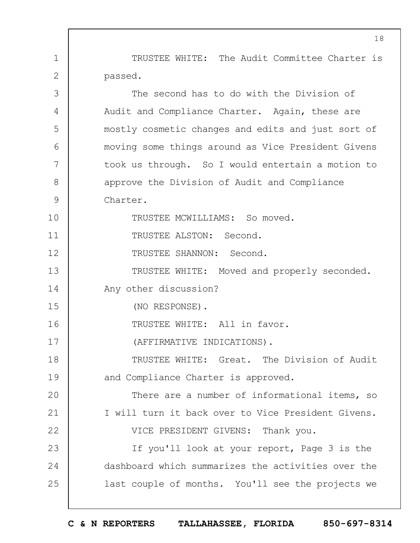TRUSTEE WHITE: The Audit Committee Charter is passed.

1

2

3 4 5 6 7 8 9 10 11 12 13 14 15 16 17 18 19  $20$ 21 22 23 24 25 The second has to do with the Division of Audit and Compliance Charter. Again, these are mostly cosmetic changes and edits and just sort of moving some things around as Vice President Givens took us through. So I would entertain a motion to approve the Division of Audit and Compliance Charter. TRUSTEE MCWILLIAMS: So moved. TRUSTEE ALSTON: Second. TRUSTEE SHANNON: Second. TRUSTEE WHITE: Moved and properly seconded. Any other discussion? (NO RESPONSE). TRUSTEE WHITE: All in favor. (AFFIRMATIVE INDICATIONS). TRUSTEE WHITE: Great. The Division of Audit and Compliance Charter is approved. There are a number of informational items, so I will turn it back over to Vice President Givens. VICE PRESIDENT GIVENS: Thank you. If you'll look at your report, Page 3 is the dashboard which summarizes the activities over the last couple of months. You'll see the projects we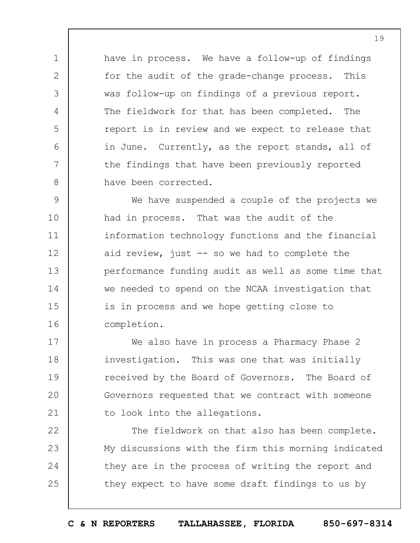have in process. We have a follow-up of findings for the audit of the grade-change process. This was follow-up on findings of a previous report. The fieldwork for that has been completed. The report is in review and we expect to release that in June. Currently, as the report stands, all of the findings that have been previously reported have been corrected.

1

2

3

4

5

6

7

8

9 10 11 12 13 14 15 16 We have suspended a couple of the projects we had in process. That was the audit of the information technology functions and the financial aid review, just -- so we had to complete the performance funding audit as well as some time that we needed to spend on the NCAA investigation that is in process and we hope getting close to completion.

17 18 19  $20$ 21 We also have in process a Pharmacy Phase 2 investigation. This was one that was initially received by the Board of Governors. The Board of Governors requested that we contract with someone to look into the allegations.

22 23 24 25 The fieldwork on that also has been complete. My discussions with the firm this morning indicated they are in the process of writing the report and they expect to have some draft findings to us by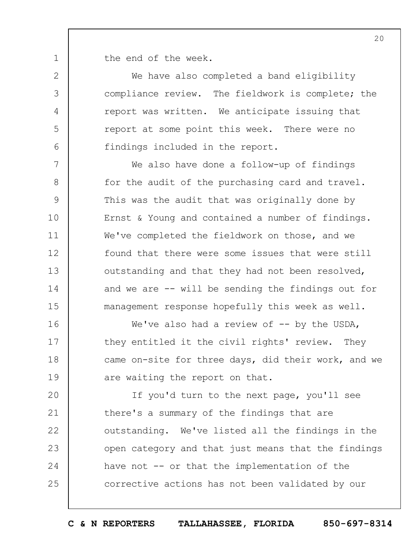1 the end of the week.

2

3

4

5

6

We have also completed a band eligibility compliance review. The fieldwork is complete; the report was written. We anticipate issuing that report at some point this week. There were no findings included in the report.

7 8 9 10 11 12 13 14 15 We also have done a follow-up of findings for the audit of the purchasing card and travel. This was the audit that was originally done by Ernst & Young and contained a number of findings. We've completed the fieldwork on those, and we found that there were some issues that were still outstanding and that they had not been resolved, and we are -- will be sending the findings out for management response hopefully this week as well.

16 17 18 19 We've also had a review of  $-$  by the USDA, they entitled it the civil rights' review. They came on-site for three days, did their work, and we are waiting the report on that.

 $20$ 21 22 23 24 25 If you'd turn to the next page, you'll see there's a summary of the findings that are outstanding. We've listed all the findings in the open category and that just means that the findings have not -- or that the implementation of the corrective actions has not been validated by our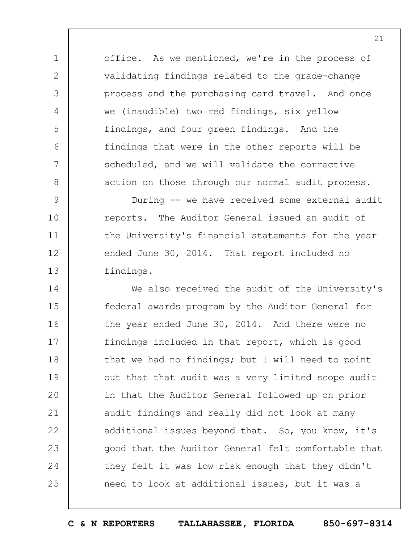office. As we mentioned, we're in the process of validating findings related to the grade-change process and the purchasing card travel. And once we (inaudible) two red findings, six yellow findings, and four green findings. And the findings that were in the other reports will be scheduled, and we will validate the corrective action on those through our normal audit process.

1

2

3

4

5

6

7

8

9 10 11 12 13 During -- we have received some external audit reports. The Auditor General issued an audit of the University's financial statements for the year ended June 30, 2014. That report included no findings.

14 15 16 17 18 19  $20$ 21 22 23 24 25 We also received the audit of the University's federal awards program by the Auditor General for the year ended June 30, 2014. And there were no findings included in that report, which is good that we had no findings; but I will need to point out that that audit was a very limited scope audit in that the Auditor General followed up on prior audit findings and really did not look at many additional issues beyond that. So, you know, it's good that the Auditor General felt comfortable that they felt it was low risk enough that they didn't need to look at additional issues, but it was a

**C & N REPORTERS TALLAHASSEE, FLORIDA 850-697-8314**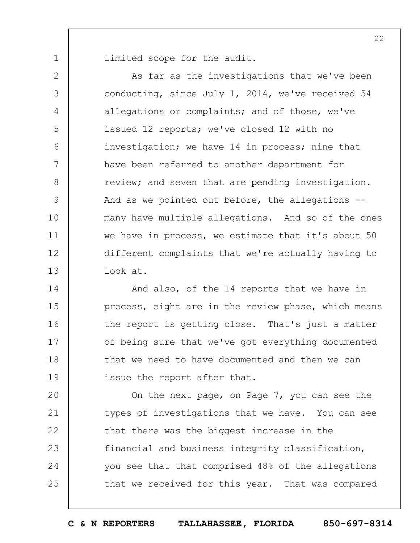limited scope for the audit.

1

2 3 4 5 6 7 8 9 10 11 12 13 As far as the investigations that we've been conducting, since July 1, 2014, we've received 54 allegations or complaints; and of those, we've issued 12 reports; we've closed 12 with no investigation; we have 14 in process; nine that have been referred to another department for review; and seven that are pending investigation. And as we pointed out before, the allegations - many have multiple allegations. And so of the ones we have in process, we estimate that it's about 50 different complaints that we're actually having to look at.

14 15 16 17 18 19 And also, of the 14 reports that we have in process, eight are in the review phase, which means the report is getting close. That's just a matter of being sure that we've got everything documented that we need to have documented and then we can issue the report after that.

 $20$ 21 22 23 24 25 On the next page, on Page 7, you can see the types of investigations that we have. You can see that there was the biggest increase in the financial and business integrity classification, you see that that comprised 48% of the allegations that we received for this year. That was compared

**C & N REPORTERS TALLAHASSEE, FLORIDA 850-697-8314**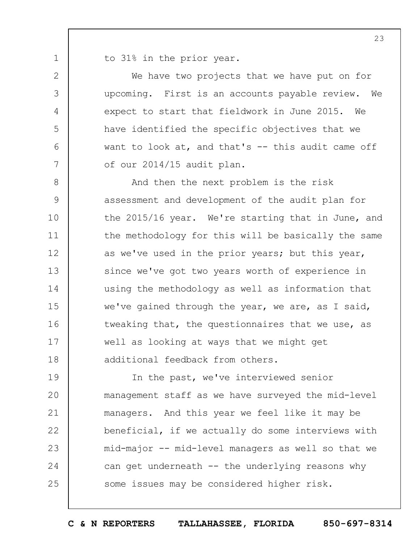to 31% in the prior year.

1

2

3

4

5

6

7

We have two projects that we have put on for upcoming. First is an accounts payable review. We expect to start that fieldwork in June 2015. We have identified the specific objectives that we want to look at, and that's -- this audit came off of our 2014/15 audit plan.

8 9 10 11 12 13 14 15 16 17 18 And then the next problem is the risk assessment and development of the audit plan for the 2015/16 year. We're starting that in June, and the methodology for this will be basically the same as we've used in the prior years; but this year, since we've got two years worth of experience in using the methodology as well as information that we've gained through the year, we are, as I said, tweaking that, the questionnaires that we use, as well as looking at ways that we might get additional feedback from others.

19  $20$ 21 22 23 24 25 In the past, we've interviewed senior management staff as we have surveyed the mid-level managers. And this year we feel like it may be beneficial, if we actually do some interviews with mid-major -- mid-level managers as well so that we can get underneath  $--$  the underlying reasons why some issues may be considered higher risk.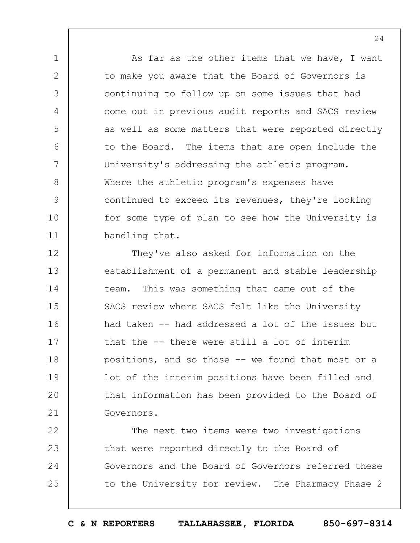As far as the other items that we have, I want to make you aware that the Board of Governors is continuing to follow up on some issues that had come out in previous audit reports and SACS review as well as some matters that were reported directly to the Board. The items that are open include the University's addressing the athletic program. Where the athletic program's expenses have continued to exceed its revenues, they're looking for some type of plan to see how the University is handling that.

1

2

3

4

5

6

7

8

9

10

11

12 13 14 15 16 17 18 19  $20$ 21 They've also asked for information on the establishment of a permanent and stable leadership team. This was something that came out of the SACS review where SACS felt like the University had taken -- had addressed a lot of the issues but that the -- there were still a lot of interim positions, and so those -- we found that most or a lot of the interim positions have been filled and that information has been provided to the Board of Governors.

22 23 24 25 The next two items were two investigations that were reported directly to the Board of Governors and the Board of Governors referred these to the University for review. The Pharmacy Phase 2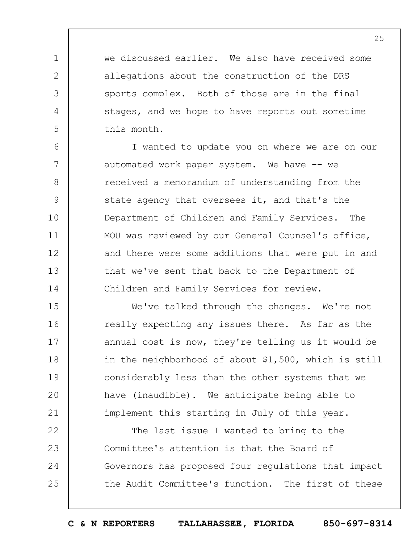we discussed earlier. We also have received some allegations about the construction of the DRS sports complex. Both of those are in the final stages, and we hope to have reports out sometime this month.

1

2

3

4

5

6 7 8 9 10 11 12 13 14 I wanted to update you on where we are on our automated work paper system. We have -- we received a memorandum of understanding from the state agency that oversees it, and that's the Department of Children and Family Services. The MOU was reviewed by our General Counsel's office, and there were some additions that were put in and that we've sent that back to the Department of Children and Family Services for review.

15 16 17 18 19  $20$ 21 We've talked through the changes. We're not really expecting any issues there. As far as the annual cost is now, they're telling us it would be in the neighborhood of about \$1,500, which is still considerably less than the other systems that we have (inaudible). We anticipate being able to implement this starting in July of this year.

22 23 24 25 The last issue I wanted to bring to the Committee's attention is that the Board of Governors has proposed four regulations that impact the Audit Committee's function. The first of these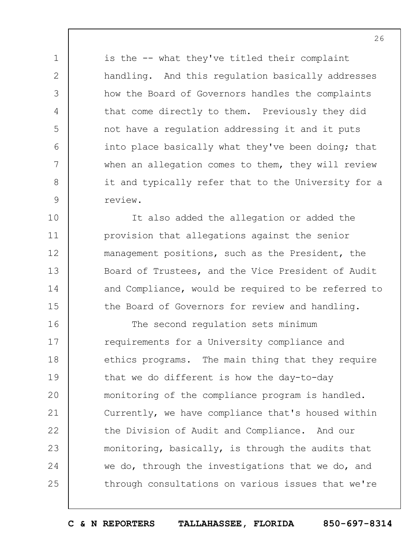is the -- what they've titled their complaint handling. And this regulation basically addresses how the Board of Governors handles the complaints that come directly to them. Previously they did not have a regulation addressing it and it puts into place basically what they've been doing; that when an allegation comes to them, they will review it and typically refer that to the University for a review.

1

2

3

4

5

6

7

8

9

10 11 12 13 14 15 It also added the allegation or added the provision that allegations against the senior management positions, such as the President, the Board of Trustees, and the Vice President of Audit and Compliance, would be required to be referred to the Board of Governors for review and handling.

16 17 18 19  $20$ 21 22 23 24 25 The second regulation sets minimum requirements for a University compliance and ethics programs. The main thing that they require that we do different is how the day-to-day monitoring of the compliance program is handled. Currently, we have compliance that's housed within the Division of Audit and Compliance. And our monitoring, basically, is through the audits that we do, through the investigations that we do, and through consultations on various issues that we're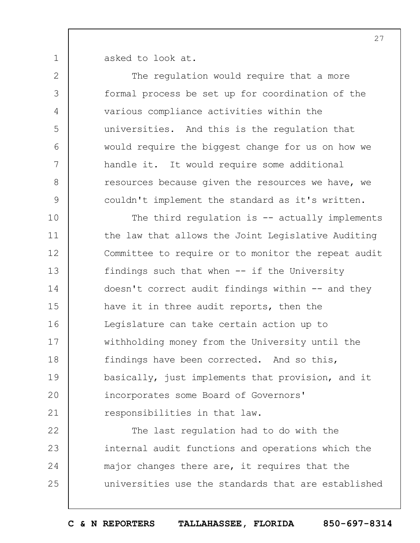asked to look at.

1

| $\mathbf{2}$  | The regulation would require that a more            |
|---------------|-----------------------------------------------------|
| 3             | formal process be set up for coordination of the    |
| 4             | various compliance activities within the            |
| 5             | universities. And this is the regulation that       |
| 6             | would require the biggest change for us on how we   |
| 7             | handle it. It would require some additional         |
| $8\,$         | resources because given the resources we have, we   |
| $\mathcal{G}$ | couldn't implement the standard as it's written.    |
| 10            | The third regulation is $-$ actually implements     |
| 11            | the law that allows the Joint Legislative Auditing  |
| 12            | Committee to require or to monitor the repeat audit |
| 13            | findings such that when -- if the University        |
| 14            | doesn't correct audit findings within -- and they   |
| 15            | have it in three audit reports, then the            |
| 16            | Legislature can take certain action up to           |
| 17            | withholding money from the University until the     |
| 18            | findings have been corrected. And so this,          |
| 19            | basically, just implements that provision, and it   |
| 20            | incorporates some Board of Governors'               |
| 21            | responsibilities in that law.                       |
| 22            | The last regulation had to do with the              |
| 23            | internal audit functions and operations which the   |
| 24            | major changes there are, it requires that the       |
| 25            | universities use the standards that are established |
|               |                                                     |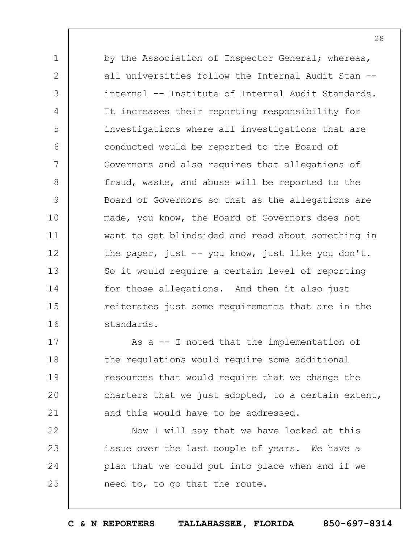by the Association of Inspector General; whereas, all universities follow the Internal Audit Stan - internal -- Institute of Internal Audit Standards. It increases their reporting responsibility for investigations where all investigations that are conducted would be reported to the Board of Governors and also requires that allegations of fraud, waste, and abuse will be reported to the Board of Governors so that as the allegations are made, you know, the Board of Governors does not want to get blindsided and read about something in the paper, just -- you know, just like you don't. So it would require a certain level of reporting for those allegations. And then it also just reiterates just some requirements that are in the standards.

1

2

3

4

5

6

7

8

9

10

11

12

13

14

15

16

17 18 19  $20$ 21 As a -- I noted that the implementation of the regulations would require some additional resources that would require that we change the charters that we just adopted, to a certain extent, and this would have to be addressed.

22 23 24 25 Now I will say that we have looked at this issue over the last couple of years. We have a plan that we could put into place when and if we need to, to go that the route.

**C & N REPORTERS TALLAHASSEE, FLORIDA 850-697-8314**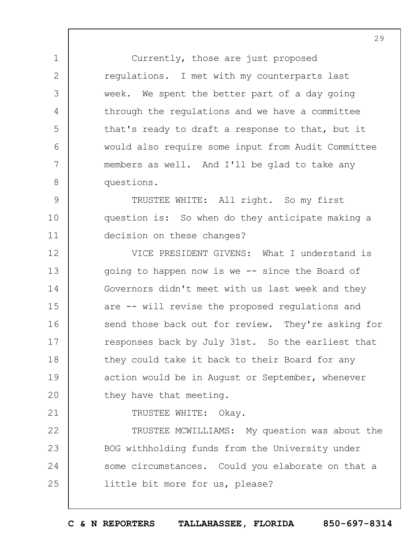Currently, those are just proposed regulations. I met with my counterparts last week. We spent the better part of a day going through the regulations and we have a committee that's ready to draft a response to that, but it would also require some input from Audit Committee members as well. And I'll be glad to take any questions.

9 10 11 TRUSTEE WHITE: All right. So my first question is: So when do they anticipate making a decision on these changes?

12 13 14 15 16 17 18 19  $20$ VICE PRESIDENT GIVENS: What I understand is going to happen now is we -- since the Board of Governors didn't meet with us last week and they are -- will revise the proposed regulations and send those back out for review. They're asking for responses back by July 31st. So the earliest that they could take it back to their Board for any action would be in August or September, whenever they have that meeting.

21

1

2

3

4

5

6

7

8

TRUSTEE WHITE: Okay.

22 23 24 25 TRUSTEE MCWILLIAMS: My question was about the BOG withholding funds from the University under some circumstances. Could you elaborate on that a little bit more for us, please?

**C & N REPORTERS TALLAHASSEE, FLORIDA 850-697-8314**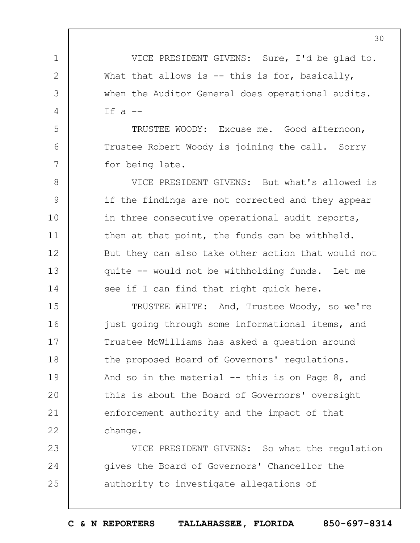VICE PRESIDENT GIVENS: Sure, I'd be glad to. What that allows is  $-$  this is for, basically, when the Auditor General does operational audits. If  $a$   $-$ 

1

2

3

4

5

6

7

TRUSTEE WOODY: Excuse me. Good afternoon, Trustee Robert Woody is joining the call. Sorry for being late.

8 9 10 11 12 13 14 VICE PRESIDENT GIVENS: But what's allowed is if the findings are not corrected and they appear in three consecutive operational audit reports, then at that point, the funds can be withheld. But they can also take other action that would not quite -- would not be withholding funds. Let me see if I can find that right quick here.

15 16 17 18 19  $20$ 21 22 TRUSTEE WHITE: And, Trustee Woody, so we're just going through some informational items, and Trustee McWilliams has asked a question around the proposed Board of Governors' regulations. And so in the material  $-$  this is on Page 8, and this is about the Board of Governors' oversight enforcement authority and the impact of that change.

23 24 25 VICE PRESIDENT GIVENS: So what the regulation gives the Board of Governors' Chancellor the authority to investigate allegations of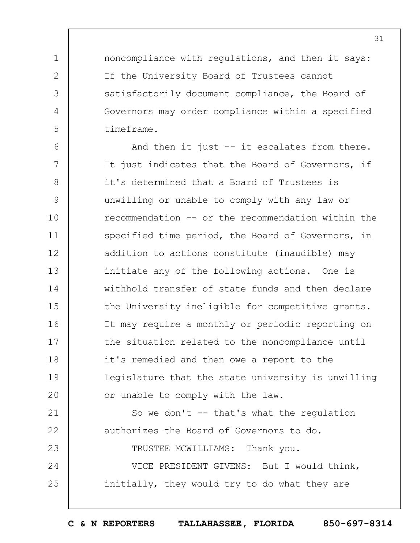noncompliance with regulations, and then it says: If the University Board of Trustees cannot satisfactorily document compliance, the Board of Governors may order compliance within a specified timeframe.

1

2

3

4

5

6 7 8 9 10 11 12 13 14 15 16 17 18 19  $20$ And then it just -- it escalates from there. It just indicates that the Board of Governors, if it's determined that a Board of Trustees is unwilling or unable to comply with any law or recommendation -- or the recommendation within the specified time period, the Board of Governors, in addition to actions constitute (inaudible) may initiate any of the following actions. One is withhold transfer of state funds and then declare the University ineligible for competitive grants. It may require a monthly or periodic reporting on the situation related to the noncompliance until it's remedied and then owe a report to the Legislature that the state university is unwilling or unable to comply with the law.

21 22 23 24 25 So we don't -- that's what the regulation authorizes the Board of Governors to do. TRUSTEE MCWILLIAMS: Thank you. VICE PRESIDENT GIVENS: But I would think, initially, they would try to do what they are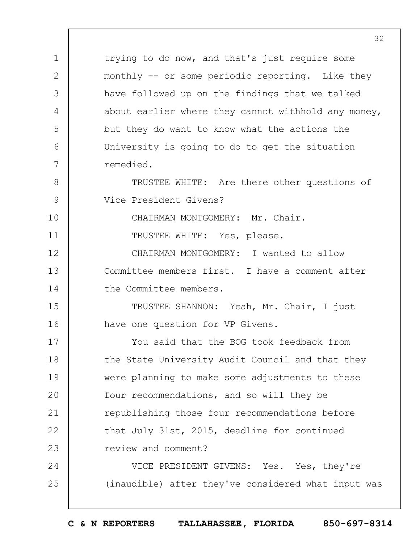trying to do now, and that's just require some monthly -- or some periodic reporting. Like they have followed up on the findings that we talked about earlier where they cannot withhold any money, but they do want to know what the actions the University is going to do to get the situation remedied.

8 9 TRUSTEE WHITE: Are there other questions of Vice President Givens?

CHAIRMAN MONTGOMERY: Mr. Chair.

TRUSTEE WHITE: Yes, please.

1

2

3

4

5

6

7

10

11

12 13 14 CHAIRMAN MONTGOMERY: I wanted to allow Committee members first. I have a comment after the Committee members.

15 16 TRUSTEE SHANNON: Yeah, Mr. Chair, I just have one question for VP Givens.

17 18 19  $20$ 21 22 23 You said that the BOG took feedback from the State University Audit Council and that they were planning to make some adjustments to these four recommendations, and so will they be republishing those four recommendations before that July 31st, 2015, deadline for continued review and comment?

24 25 VICE PRESIDENT GIVENS: Yes. Yes, they're (inaudible) after they've considered what input was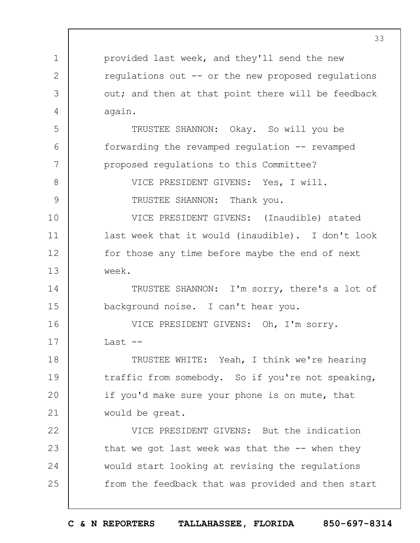1 2 3 4 5 6 7 8 9 10 11 12 13 14 15 16 17 18 19  $20$ 21 22 23 24 25 provided last week, and they'll send the new regulations out -- or the new proposed regulations out; and then at that point there will be feedback again. TRUSTEE SHANNON: Okay. So will you be forwarding the revamped regulation -- revamped proposed regulations to this Committee? VICE PRESIDENT GIVENS: Yes, I will. TRUSTEE SHANNON: Thank you. VICE PRESIDENT GIVENS: (Inaudible) stated last week that it would (inaudible). I don't look for those any time before maybe the end of next week. TRUSTEE SHANNON: I'm sorry, there's a lot of background noise. I can't hear you. VICE PRESIDENT GIVENS: Oh, I'm sorry. Last  $-$ TRUSTEE WHITE: Yeah, I think we're hearing traffic from somebody. So if you're not speaking, if you'd make sure your phone is on mute, that would be great. VICE PRESIDENT GIVENS: But the indication that we got last week was that the  $-$ - when they would start looking at revising the regulations from the feedback that was provided and then start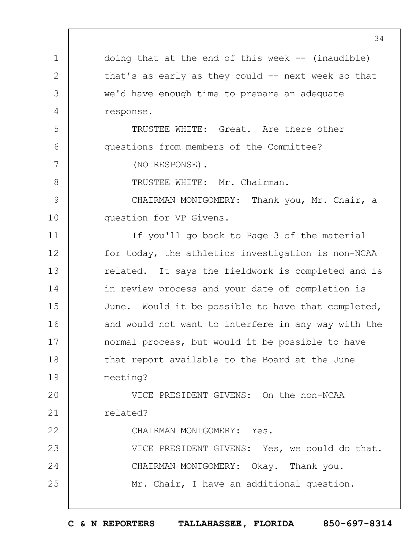1 2 3 4 5 6 7 8 9 10 11 12 13 14 15 16 17 18 19  $20$ 21 22 23 24 25 doing that at the end of this week  $-$  (inaudible) that's as early as they could  $-$  next week so that we'd have enough time to prepare an adequate response. TRUSTEE WHITE: Great. Are there other questions from members of the Committee? (NO RESPONSE). TRUSTEE WHITE: Mr. Chairman. CHAIRMAN MONTGOMERY: Thank you, Mr. Chair, a question for VP Givens. If you'll go back to Page 3 of the material for today, the athletics investigation is non-NCAA related. It says the fieldwork is completed and is in review process and your date of completion is June. Would it be possible to have that completed, and would not want to interfere in any way with the normal process, but would it be possible to have that report available to the Board at the June meeting? VICE PRESIDENT GIVENS: On the non-NCAA related? CHAIRMAN MONTGOMERY: Yes. VICE PRESIDENT GIVENS: Yes, we could do that. CHAIRMAN MONTGOMERY: Okay. Thank you. Mr. Chair, I have an additional question.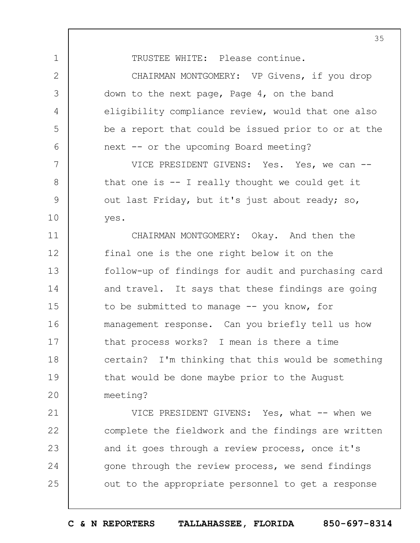TRUSTEE WHITE: Please continue.

1

2

3

4

5

6

7

8

9

10

CHAIRMAN MONTGOMERY: VP Givens, if you drop down to the next page, Page 4, on the band eligibility compliance review, would that one also be a report that could be issued prior to or at the next -- or the upcoming Board meeting?

VICE PRESIDENT GIVENS: Yes. Yes, we can -that one is -- I really thought we could get it out last Friday, but it's just about ready; so, yes.

11 12 13 14 15 16 17 18 19  $20$ CHAIRMAN MONTGOMERY: Okay. And then the final one is the one right below it on the follow-up of findings for audit and purchasing card and travel. It says that these findings are going to be submitted to manage -- you know, for management response. Can you briefly tell us how that process works? I mean is there a time certain? I'm thinking that this would be something that would be done maybe prior to the August meeting?

21 22 23 24 25 VICE PRESIDENT GIVENS: Yes, what -- when we complete the fieldwork and the findings are written and it goes through a review process, once it's gone through the review process, we send findings out to the appropriate personnel to get a response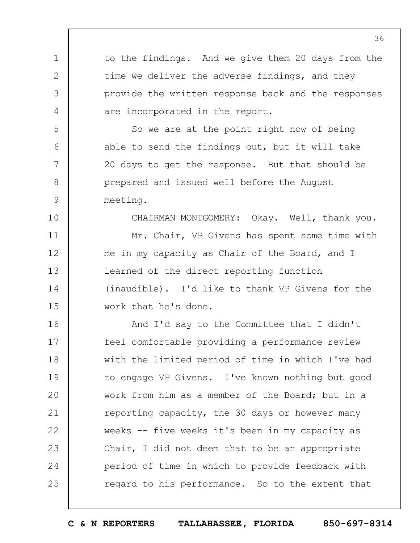1 2 3 4 5 6 7 8 9 10 11 12 13 14 15 16 17 18 19  $20$ 21 22 23 24 25 36 to the findings. And we give them 20 days from the time we deliver the adverse findings, and they provide the written response back and the responses are incorporated in the report. So we are at the point right now of being able to send the findings out, but it will take 20 days to get the response. But that should be prepared and issued well before the August meeting. CHAIRMAN MONTGOMERY: Okay. Well, thank you. Mr. Chair, VP Givens has spent some time with me in my capacity as Chair of the Board, and I learned of the direct reporting function (inaudible). I'd like to thank VP Givens for the work that he's done. And I'd say to the Committee that I didn't feel comfortable providing a performance review with the limited period of time in which I've had to engage VP Givens. I've known nothing but good work from him as a member of the Board; but in a reporting capacity, the 30 days or however many weeks -- five weeks it's been in my capacity as Chair, I did not deem that to be an appropriate period of time in which to provide feedback with regard to his performance. So to the extent that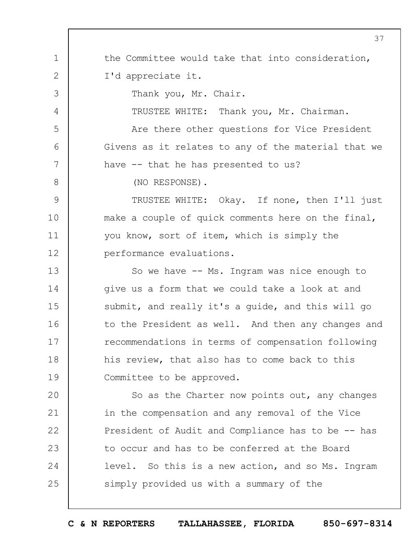1 2 3 4 5 6 7 8 9 10 11 12 13 14 15 16 17 18 19  $20$ 21 22 23 24 25 37 the Committee would take that into consideration, I'd appreciate it. Thank you, Mr. Chair. TRUSTEE WHITE: Thank you, Mr. Chairman. Are there other questions for Vice President Givens as it relates to any of the material that we have -- that he has presented to us? (NO RESPONSE). TRUSTEE WHITE: Okay. If none, then I'll just make a couple of quick comments here on the final, you know, sort of item, which is simply the performance evaluations. So we have -- Ms. Ingram was nice enough to give us a form that we could take a look at and submit, and really it's a guide, and this will go to the President as well. And then any changes and recommendations in terms of compensation following his review, that also has to come back to this Committee to be approved. So as the Charter now points out, any changes in the compensation and any removal of the Vice President of Audit and Compliance has to be -- has to occur and has to be conferred at the Board level. So this is a new action, and so Ms. Ingram simply provided us with a summary of the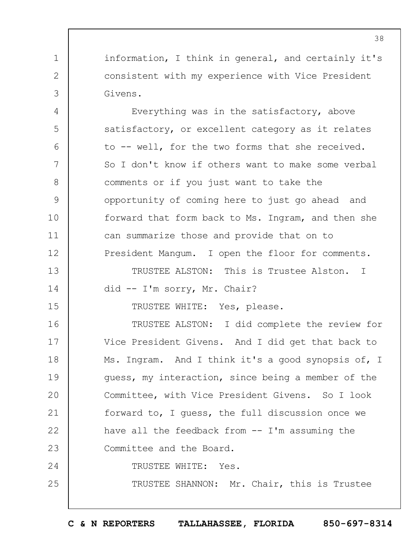information, I think in general, and certainly it's consistent with my experience with Vice President Givens.

1

2

3

4

5

6

7

8

9

10

11

12

13

14

15

25

Everything was in the satisfactory, above satisfactory, or excellent category as it relates to -- well, for the two forms that she received. So I don't know if others want to make some verbal comments or if you just want to take the opportunity of coming here to just go ahead and forward that form back to Ms. Ingram, and then she can summarize those and provide that on to President Mangum. I open the floor for comments.

TRUSTEE ALSTON: This is Trustee Alston. I did -- I'm sorry, Mr. Chair?

TRUSTEE WHITE: Yes, please.

16 17 18 19  $20$ 21 22 23 24 TRUSTEE ALSTON: I did complete the review for Vice President Givens. And I did get that back to Ms. Ingram. And I think it's a good synopsis of, I guess, my interaction, since being a member of the Committee, with Vice President Givens. So I look forward to, I guess, the full discussion once we have all the feedback from -- I'm assuming the Committee and the Board. TRUSTEE WHITE: Yes.

TRUSTEE SHANNON: Mr. Chair, this is Trustee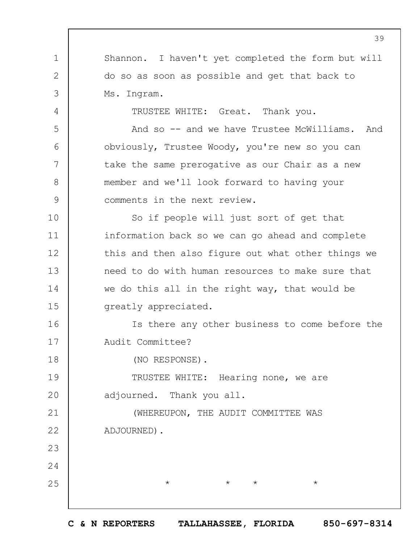1 2 3 4 5 6 7 8 9 10 11 12 13 14 15 16 17 18 19  $20$ 21 22 23 24 25 39 Shannon. I haven't yet completed the form but will do so as soon as possible and get that back to Ms. Ingram. TRUSTEE WHITE: Great. Thank you. And so -- and we have Trustee McWilliams. And obviously, Trustee Woody, you're new so you can take the same prerogative as our Chair as a new member and we'll look forward to having your comments in the next review. So if people will just sort of get that information back so we can go ahead and complete this and then also figure out what other things we need to do with human resources to make sure that we do this all in the right way, that would be greatly appreciated. Is there any other business to come before the Audit Committee? (NO RESPONSE). TRUSTEE WHITE: Hearing none, we are adjourned. Thank you all. (WHEREUPON, THE AUDIT COMMITTEE WAS ADJOURNED).  $\star$   $\star$   $\star$   $\star$